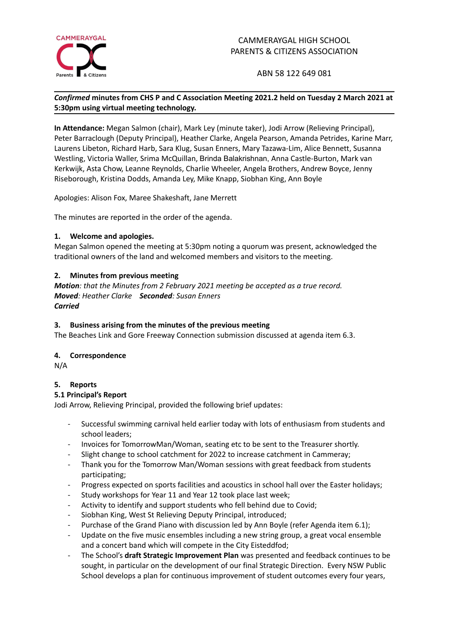

ABN 58 122 649 081

# *Confirmed* **minutes from CHS P and C Association Meeting 2021.2 held on Tuesday 2 March 2021 at 5:30pm using virtual meeting technology.**

**In Attendance:** Megan Salmon (chair), Mark Ley (minute taker), Jodi Arrow (Relieving Principal), Peter Barraclough (Deputy Principal), Heather Clarke, Angela Pearson, Amanda Petrides, Karine Marr, Laurens Libeton, Richard Harb, Sara Klug, Susan Enners, Mary Tazawa-Lim, Alice Bennett, Susanna Westling, Victoria Waller, Srima McQuillan, Brinda Balakrishnan, Anna Castle-Burton, Mark van Kerkwijk, Asta Chow, Leanne Reynolds, Charlie Wheeler, Angela Brothers, Andrew Boyce, Jenny Riseborough, Kristina Dodds, Amanda Ley, Mike Knapp, Siobhan King, Ann Boyle

Apologies: Alison Fox, Maree Shakeshaft, Jane Merrett

The minutes are reported in the order of the agenda.

## **1. Welcome and apologies.**

Megan Salmon opened the meeting at 5:30pm noting a quorum was present, acknowledged the traditional owners of the land and welcomed members and visitors to the meeting.

## **2. Minutes from previous meeting**

*Motion: that the Minutes from 2 February 2021 meeting be accepted as a true record. Moved: Heather Clarke Seconded: Susan Enners Carried*

### **3. Business arising from the minutes of the previous meeting**

The Beaches Link and Gore Freeway Connection submission discussed at agenda item 6.3.

### **4. Correspondence**

N/A

### **5. Reports**

### **5.1 Principal's Report**

Jodi Arrow, Relieving Principal, provided the following brief updates:

- Successful swimming carnival held earlier today with lots of enthusiasm from students and school leaders;
- Invoices for TomorrowMan/Woman, seating etc to be sent to the Treasurer shortly.
- Slight change to school catchment for 2022 to increase catchment in Cammeray;
- Thank you for the Tomorrow Man/Woman sessions with great feedback from students participating;
- Progress expected on sports facilities and acoustics in school hall over the Easter holidays;
- Study workshops for Year 11 and Year 12 took place last week;
- Activity to identify and support students who fell behind due to Covid;
- Siobhan King, West St Relieving Deputy Principal, introduced;
- Purchase of the Grand Piano with discussion led by Ann Boyle (refer Agenda item 6.1);
- Update on the five music ensembles including a new string group, a great vocal ensemble and a concert band which will compete in the City Eisteddfod;
- The School's **draft Strategic Improvement Plan** was presented and feedback continues to be sought, in particular on the development of our final Strategic Direction. Every NSW Public School develops a plan for continuous improvement of student outcomes every four years,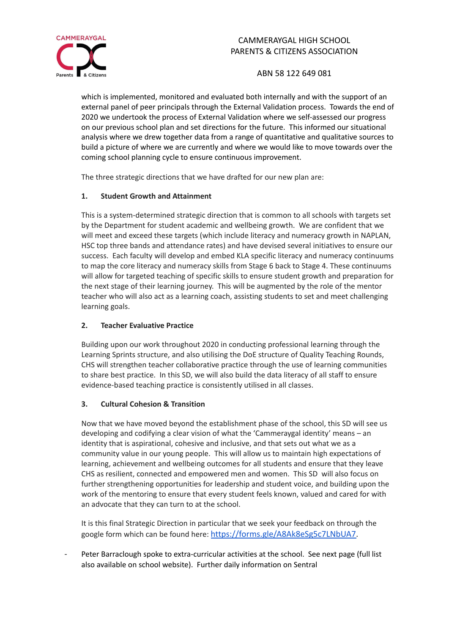

ABN 58 122 649 081

which is implemented, monitored and evaluated both internally and with the support of an external panel of peer principals through the External Validation process. Towards the end of 2020 we undertook the process of External Validation where we self-assessed our progress on our previous school plan and set directions for the future. This informed our situational analysis where we drew together data from a range of quantitative and qualitative sources to build a picture of where we are currently and where we would like to move towards over the coming school planning cycle to ensure continuous improvement.

The three strategic directions that we have drafted for our new plan are:

# **1. Student Growth and Attainment**

This is a system-determined strategic direction that is common to all schools with targets set by the Department for student academic and wellbeing growth. We are confident that we will meet and exceed these targets (which include literacy and numeracy growth in NAPLAN, HSC top three bands and attendance rates) and have devised several initiatives to ensure our success. Each faculty will develop and embed KLA specific literacy and numeracy continuums to map the core literacy and numeracy skills from Stage 6 back to Stage 4. These continuums will allow for targeted teaching of specific skills to ensure student growth and preparation for the next stage of their learning journey. This will be augmented by the role of the mentor teacher who will also act as a learning coach, assisting students to set and meet challenging learning goals.

# **2. Teacher Evaluative Practice**

Building upon our work throughout 2020 in conducting professional learning through the Learning Sprints structure, and also utilising the DoE structure of Quality Teaching Rounds, CHS will strengthen teacher collaborative practice through the use of learning communities to share best practice. In this SD, we will also build the data literacy of all staff to ensure evidence-based teaching practice is consistently utilised in all classes.

# **3. Cultural Cohesion & Transition**

Now that we have moved beyond the establishment phase of the school, this SD will see us developing and codifying a clear vision of what the 'Cammeraygal identity' means – an identity that is aspirational, cohesive and inclusive, and that sets out what we as a community value in our young people. This will allow us to maintain high expectations of learning, achievement and wellbeing outcomes for all students and ensure that they leave CHS as resilient, connected and empowered men and women. This SD will also focus on further strengthening opportunities for leadership and student voice, and building upon the work of the mentoring to ensure that every student feels known, valued and cared for with an advocate that they can turn to at the school.

It is this final Strategic Direction in particular that we seek your feedback on through the google form which can be found here: [https://forms.gle/A8Ak8eSg5c7LNbUA7.](https://forms.gle/A8Ak8eSg5c7LNbUA7)

- Peter Barraclough spoke to extra-curricular activities at the school. See next page (full list also available on school website). Further daily information on Sentral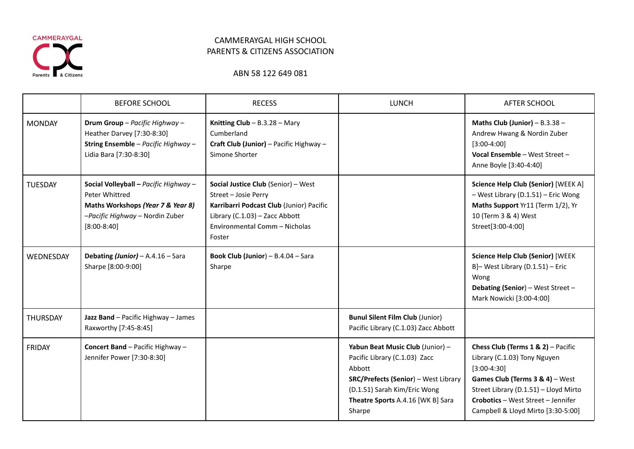

# ABN 58 122 649 081

|                 | <b>BEFORE SCHOOL</b>                                                                                                                             | <b>RECESS</b>                                                                                                                                                                                      | <b>LUNCH</b>                                                                                                                                                                                              | AFTER SCHOOL                                                                                                                                                                                                                                   |
|-----------------|--------------------------------------------------------------------------------------------------------------------------------------------------|----------------------------------------------------------------------------------------------------------------------------------------------------------------------------------------------------|-----------------------------------------------------------------------------------------------------------------------------------------------------------------------------------------------------------|------------------------------------------------------------------------------------------------------------------------------------------------------------------------------------------------------------------------------------------------|
| <b>MONDAY</b>   | Drum Group - Pacific Highway -<br>Heather Darvey [7:30-8:30]<br>String Ensemble - Pacific Highway -<br>Lidia Bara [7:30-8:30]                    | Knitting $Club - B.3.28 - Mary$<br>Cumberland<br>Craft Club (Junior) - Pacific Highway -<br>Simone Shorter                                                                                         |                                                                                                                                                                                                           | Maths Club (Junior) - $B.3.38 -$<br>Andrew Hwang & Nordin Zuber<br>$[3:00-4:00]$<br>Vocal Ensemble - West Street -<br>Anne Boyle [3:40-4:40]                                                                                                   |
| <b>TUESDAY</b>  | Social Volleyball - Pacific Highway -<br>Peter Whittred<br>Maths Workshops (Year 7 & Year 8)<br>-Pacific Highway - Nordin Zuber<br>$[8:00-8:40]$ | <b>Social Justice Club</b> (Senior) – West<br>Street - Josie Perry<br>Karribarri Podcast Club (Junior) Pacific<br>Library (C.1.03) - Zacc Abbott<br><b>Environmental Comm - Nicholas</b><br>Foster |                                                                                                                                                                                                           | Science Help Club (Senior) [WEEK A]<br>- West Library (D.1.51) - Eric Wong<br>Maths Support Yr11 (Term 1/2), Yr<br>10 (Term 3 & 4) West<br>Street[3:00-4:00]                                                                                   |
| WEDNESDAY       | Debating (Junior) - A.4.16 - Sara<br>Sharpe [8:00-9:00]                                                                                          | <b>Book Club (Junior)</b> $- B.4.04 - Sara$<br>Sharpe                                                                                                                                              |                                                                                                                                                                                                           | <b>Science Help Club (Senior) [WEEK</b><br>B]-West Library (D.1.51) - Eric<br>Wong<br>Debating (Senior) - West Street -<br>Mark Nowicki [3:00-4:00]                                                                                            |
| <b>THURSDAY</b> | Jazz Band - Pacific Highway - James<br>Raxworthy [7:45-8:45]                                                                                     |                                                                                                                                                                                                    | <b>Bunul Silent Film Club (Junior)</b><br>Pacific Library (C.1.03) Zacc Abbott                                                                                                                            |                                                                                                                                                                                                                                                |
| FRIDAY          | Concert Band - Pacific Highway -<br>Jennifer Power [7:30-8:30]                                                                                   |                                                                                                                                                                                                    | Yabun Beat Music Club (Junior) -<br>Pacific Library (C.1.03) Zacc<br>Abbott<br><b>SRC/Prefects (Senior) - West Library</b><br>(D.1.51) Sarah Kim/Eric Wong<br>Theatre Sports A.4.16 [WK B] Sara<br>Sharpe | Chess Club (Terms $1 & 2$ ) – Pacific<br>Library (C.1.03) Tony Nguyen<br>$[3:00-4:30]$<br>Games Club (Terms 3 & 4) - West<br>Street Library (D.1.51) - Lloyd Mirto<br>Crobotics - West Street - Jennifer<br>Campbell & Lloyd Mirto [3:30-5:00] |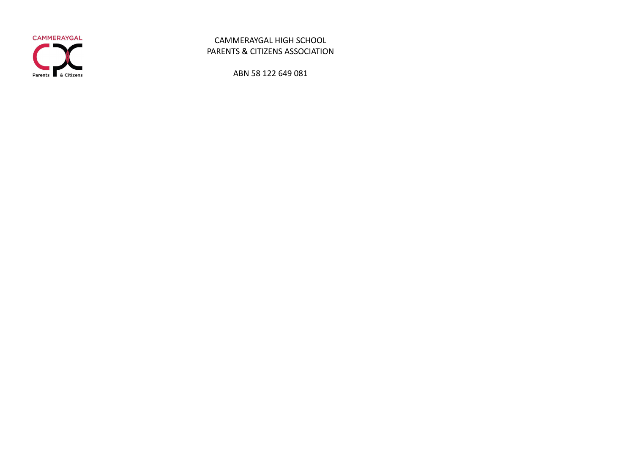

ABN 58 122 649 081